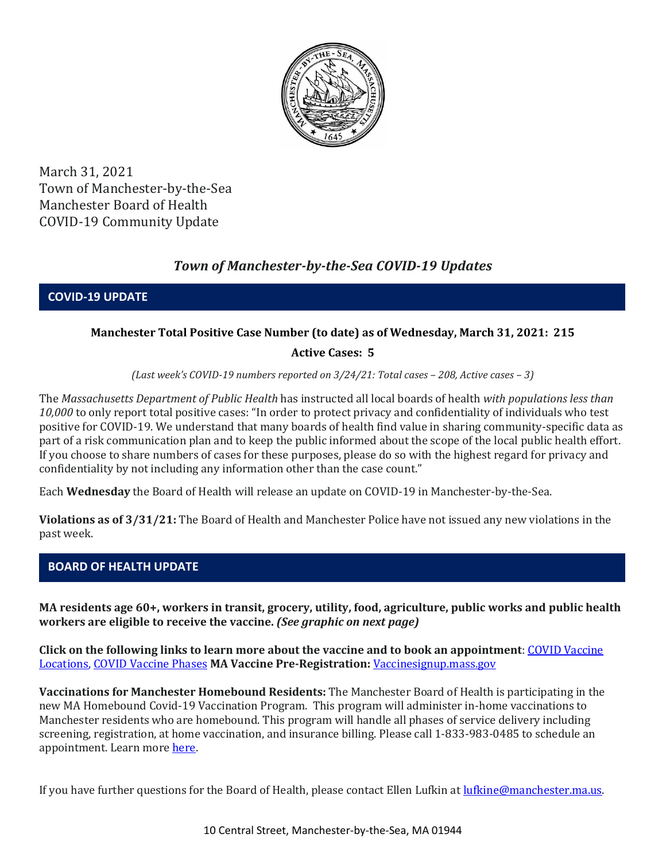

March 31, 2021 Town of Manchester-by-the-Sea Manchester Board of Health COVID-19 Community Update

# *Town of Manchester-by-the-Sea COVID-19 Updates*

**COVID-19 UPDATE**

# **Manchester Total Positive Case Number (to date) as of Wednesday, March 31, 2021: 215**

# **Active Cases: 5**

*(Last week's COVID-19 numbers reported on 3/24/21: Total cases – 208, Active cases – 3)*

The *Massachusetts Department of Public Health* has instructed all local boards of health *with populations less than 10,000* to only report total positive cases: "In order to protect privacy and confidentiality of individuals who test positive for COVID-19. We understand that many boards of health find value in sharing community-specific data as part of a risk communication plan and to keep the public informed about the scope of the local public health effort. If you choose to share numbers of cases for these purposes, please do so with the highest regard for privacy and confidentiality by not including any information other than the case count."

Each **Wednesday** the Board of Health will release an update on COVID-19 in Manchester-by-the-Sea.

**Violations as of 3/31/21:** The Board of Health and Manchester Police have not issued any new violations in the past week.

# **BOARD OF HEALTH UPDATE**

**MA residents age 60+, workers in transit, grocery, utility, food, agriculture, public works and public health workers are eligible to receive the vaccine.** *(See graphic on next page)*

**Click on the following links to learn more about the vaccine and to book an appointment**[: COVID Vaccine](https://www.mass.gov/info-details/covid-19-vaccination-locations)  [Locations, COVID Vaccine Phases](https://www.mass.gov/info-details/covid-19-vaccination-locations) **MA Vaccine Pre-Registration:** [Vaccinesignup.mass.gov](https://vaccinesignup.mass.gov/#/)

**Vaccinations for Manchester Homebound Residents:** The Manchester Board of Health is participating in the new MA Homebound Covid-19 Vaccination Program. This program will administer in-home vaccinations to Manchester residents who are homebound. This program will handle all phases of service delivery including screening, registration, at home vaccination, and insurance billing. Please call 1-833-983-0485 to schedule an appointment. Learn mor[e here.](http://manchester.ma.us/337/Board-of-Health)

If you have further questions for the Board of Health, please contact Ellen Lufkin at <u>lufkine@manchester.ma.us</u>.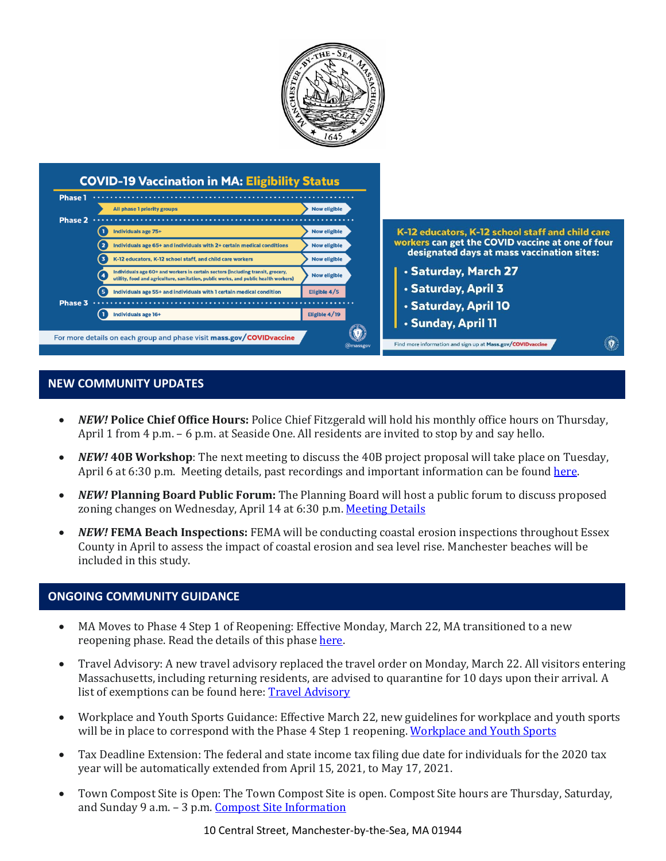

#### **NEW COMMUNITY UPDATES**

- *NEW!* **Police Chief Office Hours:** Police Chief Fitzgerald will hold his monthly office hours on Thursday, April 1 from 4 p.m. – 6 p.m. at Seaside One. All residents are invited to stop by and say hello.
- *NEW!* **40B Workshop**: The next meeting to discuss the 40B project proposal will take place on Tuesday, April 6 at 6:30 p.m. Meeting details, past recordings and important information can be foun[d here.](http://manchester.ma.us/729/40B)
- *NEW!* **Planning Board Public Forum:** The Planning Board will host a public forum to discuss proposed zoning changes on Wednesday, April 14 at 6:30 p.m[. Meeting Details](http://manchester.ma.us/Calendar.aspx?EID=1860)
- *NEW!* **FEMA Beach Inspections:** FEMA will be conducting coastal erosion inspections throughout Essex County in April to assess the impact of coastal erosion and sea level rise. Manchester beaches will be included in this study.

#### **ONGOING COMMUNITY GUIDANCE**

- MA Moves to Phase 4 Step 1 of Reopening: Effective Monday, March 22, MA transitioned to a new reopening phase. Read the details of this phase [here.](https://www.mass.gov/news/baker-polito-administration-announces-transition-to-phase-iv-of-reopening-plan)
- Travel Advisory: A new travel advisory replaced the travel order on Monday, March 22. All visitors entering Massachusetts, including returning residents, are advised to quarantine for 10 days upon their arrival. A list of exemptions can be found here: **Travel Advisory**
- Workplace and Youth Sports Guidance: Effective March 22, new guidelines for workplace and youth sports will be in place to correspond with the Phase 4 Step 1 reopening[. Workplace and Youth Sports](https://www.mass.gov/doc/safety-standards-for-youth-and-adult-amateur-sports-activities-phase-iv-step-1-effective-32221/download)
- Tax Deadline Extension: The federal and state income tax filing due date for individuals for the 2020 tax year will be automatically extended from April 15, 2021, to May 17, 2021.
- Town Compost Site is Open: The Town Compost Site is open. Compost Site hours are Thursday, Saturday, and Sunday 9 a.m. – 3 p.m. [Compost Site Information](https://www.manchester.ma.us/413/Yard-Compost-Site)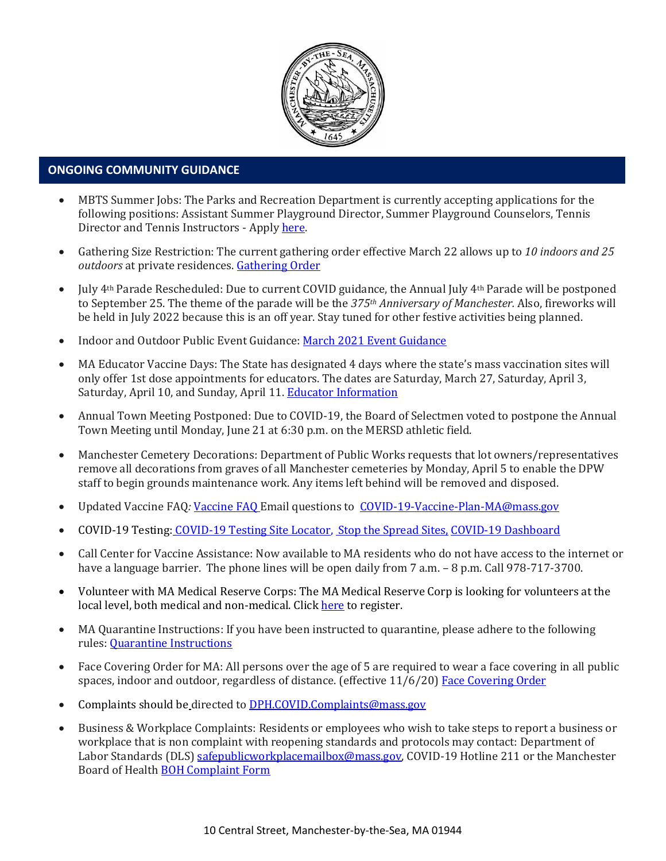

# • **ONGOING COMMUNITY GUIDANCE**

- MBTS Summer Jobs: The Parks and Recreation Department is currently accepting applications for the following positions: Assistant Summer Playground Director, Summer Playground Counselors, Tennis Director and Tennis Instructors - Apply [here.](https://www.manchester.ma.us/268/Parks-Recreation)
- Gathering Size Restriction: The current gathering order effective March 22 allows up to *10 indoors and 25 outdoors* at private residences. [Gathering Order](https://www.manchester.ma.us/DocumentCenter/View/3746/Signed-Appendix-for-Gatherings-Order-31821)
- July 4th Parade Rescheduled: Due to current COVID guidance, the Annual July 4th Parade will be postponed to September 25. The theme of the parade will be the *375th Anniversary of Manchester.* Also, fireworks will be held in July 2022 because this is an off year. Stay tuned for other festive activities being planned.
- Indoor and Outdoor Public Event Guidance[: March 2021 Event Guidance](https://www.manchester.ma.us/DocumentCenter/View/3736/Final_Indoor-and-Outdoor-Events-Guidance-31121)
- MA Educator Vaccine Days: The State has designated 4 days where the state's mass vaccination sites will only offer 1st dose appointments for educators. The dates are Saturday, March 27, Saturday, April 3, Saturday, April 10, and Sunday, April 11. [Educator Information](https://www.mass.gov/info-details/covid-19-vaccinations-for-k-12-educators-child-care-workers-and-school-staff)
- Annual Town Meeting Postponed: Due to COVID-19, the Board of Selectmen voted to postpone the Annual Town Meeting until Monday, June 21 at 6:30 p.m. on the MERSD athletic field.
- Manchester Cemetery Decorations: Department of Public Works requests that lot owners/representatives remove all decorations from graves of all Manchester cemeteries by Monday, April 5 to enable the DPW staff to begin grounds maintenance work. Any items left behind will be removed and disposed.
- Updated Vaccine FAQ*:* [Vaccine FAQ](https://www.mass.gov/doc/covid-19-vaccine-frequently-asked-questions/download) Email questions to [COVID-19-Vaccine-Plan-MA@mass.gov](file:///C:/Users/marlettat/Desktop/Public%20Relations/2021/COVID-19-Vaccine-Plan-MA@mass.gov)
- COVID-19 Testing: [COVID-19 Testing Site Locator,](https://memamaps.maps.arcgis.com/apps/webappviewer/index.html?id=eba3f0395451430b9f631cb095febf13) [Stop the Spread Sites,](https://www.mass.gov/info-details/stop-the-spread) [COVID-19 Dashboard](https://www.mass.gov/info-details/covid-19-response-reporting#covid-19-interactive-data-dashboard-)
- Call Center for Vaccine Assistance: Now available to MA residents who do not have access to the internet or have a language barrier. The phone lines will be open daily from 7 a.m. - 8 p.m. Call 978-717-3700.
- Volunteer with MA Medical Reserve Corps: The MA Medical Reserve Corp is looking for volunteers at the local level, both medical and non-medical. Clic[k here](https://l.facebook.com/l.php?u=https%3A%2F%2Fwww.mamedicalreservecorps.org%2Fcovid19%3Ffbclid%3DIwAR1O_7U70XMSPe_kbb689S7zAJbCTYavpqNhIz9Ce2s-encj1Mlz3fOmjYI&h=AT3a2b6zxupFiw2RA_9kLVFDLZwmtblukw3wwe3pvVN6YWtLrkwxEyW8Z8S97uuzXDiNt1x4DYp7DeOoXm1U98GjBQQufV4R5eC5sYpFoqMi6iMDgiQu2THu_d0XoA0BnNUMg336NM-KtUxjtQ&__tn__=-UK-R&c%5b0%5d=AT2anP_ULhxU-U55t7AxrMiNTXfNIJnoicfzRyKEGzk_70Dtxb6ttNSKpwftDkeovmenW9ksjPEmhjSrMDjZ_NEMD2Upi_WEREnPIZBLU-8cgapV1WMi5HvUjS0InF_0K4aE4PXV6bei0V79lnY9jSo89LgXHVCMF9u0-PYa4j6cBMOzl7xPt7oB2_WGVQ8cDciW8b9U) to register.
- MA Quarantine Instructions: If you have been instructed to quarantine, please adhere to the following rules: [Quarantine Instructions](http://manchester.ma.us/DocumentCenter/View/3558/14-10-7-day-COVID19_Quarantine-information-1272020)
- Face Covering Order for MA: All persons over the age of 5 are required to wear a face covering in all public spaces, indoor and outdoor, regardless of distance. (effective 11/6/20) [Face Covering Order](http://manchester.ma.us/DocumentCenter/View/3499/Revised-Face-Coverings-Order-No-55-1?fbclid=IwAR1a7l39TKetEAZ_mA8K6saG2GZ1dRBKA9-xuJJ3tDlAVUGCp7YatZmCKEo)
- Complaints should be directed t[o DPH.COVID.Complaints@mass.gov](mailto:DPH.COVID.Complaints@mass.gov)
- Business & Workplace Complaints: Residents or employees who wish to take steps to report a business or workplace that is non complaint with reopening standards and protocols may contact: Department of Labor Standards (DLS[\) safepublicworkplacemailbox@mass.gov,](mailto:safepublicworkplacemailbox@mass.gov) COVID-19 Hotline 211 or the Manchester Board of Health [BOH Complaint Form](http://manchester.ma.us/DocumentCenter/View/3282/Board-of-Health-Complaint-Form-2020)